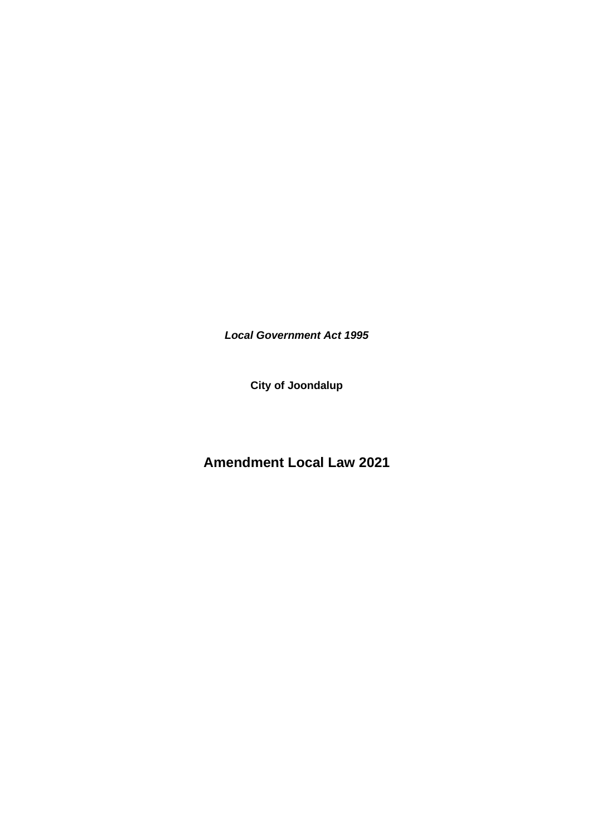*Local Government Act 1995*

**City of Joondalup** 

**Amendment Local Law 2021**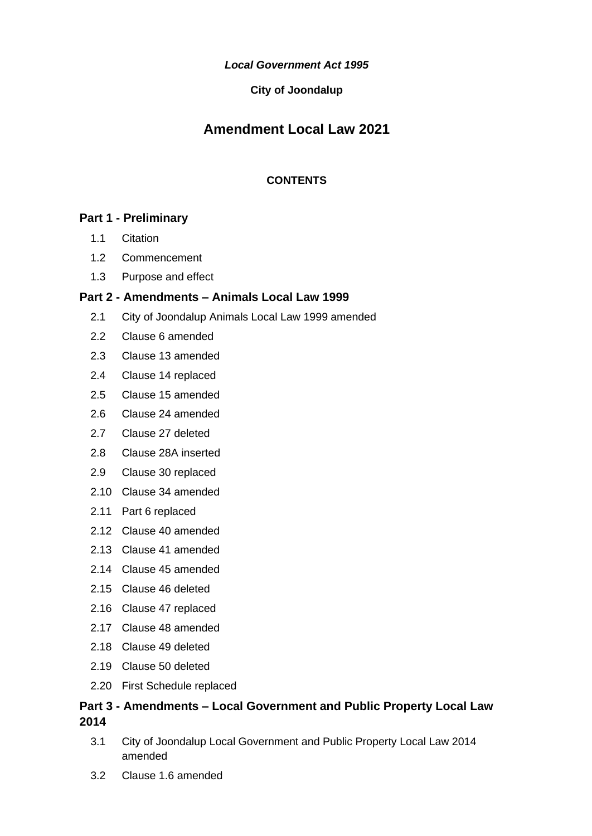*Local Government Act 1995*

### **City of Joondalup**

# **Amendment Local Law 2021**

### **CONTENTS**

# **Part 1 - [Preliminary](#page-3-0)**

- 1.1 [Citation](#page-3-1)
- 1.2 [Commencement](#page-3-2)
- 1.3 [Purpose and effect](#page-3-3)

# **Part 2 - Amendments – [Animals Local Law 1999](#page-3-4)**

- 2.1 [City of Joondalup Animals Local Law 1999 amended](#page-3-5)
- 2.2 [Clause 6 amended](#page-3-6)
- 2.3 [Clause 13 amended](#page-4-0)
- 2.4 [Clause 14 replaced](#page-4-1)
- 2.5 [Clause 15 amended](#page-4-2)
- 2.6 [Clause 24 amended](#page-4-3)
- 2.7 [Clause 27 deleted](#page-4-4)
- 2.8 [Clause 28A inserted](#page-4-5)
- 2.9 [Clause 30 replaced](#page-5-0)
- 2.10 [Clause 34 amended](#page-5-1)
- 2.11 [Part 6 replaced](#page-5-2)
- 2.12 [Clause 40 amended](#page-7-0)
- 2.13 [Clause 41 amended](#page-8-0)
- 2.14 [Clause 45 amended](#page-8-1)
- 2.15 [Clause 46](#page-8-2) deleted
- 2.16 [Clause 47 replaced](#page-8-3)
- 2.17 [Clause 48 amended](#page-8-4)
- 2.18 [Clause 49 deleted](#page-8-5)
- 2.19 [Clause 50 deleted](#page-8-6)
- 2.20 [First Schedule replaced](#page-9-0)

# **Part 3 - Amendments – [Local Government and Public Property Local Law](#page-12-0)  [2014](#page-12-0)**

- 3.1 [City of Joondalup Local Government and Public Property Local Law 2014](#page-12-1)  [amended](#page-12-1)
- 3.2 [Clause 1.6 amended](#page-12-2)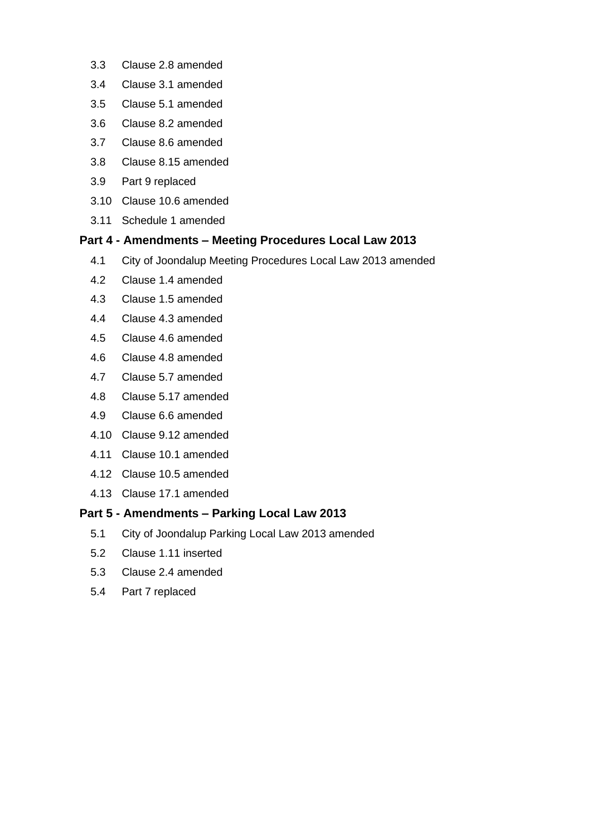- 3.3 [Clause 2.8 amended](#page-12-3)
- 3.4 [Clause 3.1 amended](#page-13-0)
- 3.5 [Clause 5.1 amended](#page-13-1)
- 3.6 [Clause 8.2 amended](#page-13-2)
- 3.7 [Clause 8.6 amended](#page-13-3)
- 3.8 [Clause 8.15 amended](#page-13-4)
- 3.9 [Part 9 replaced](#page-13-5)
- 3.10 [Clause 10.6 amended](#page-17-0)
- 3.11 [Schedule 1 amended](#page-17-1)

#### **Part 4 - Amendments – [Meeting Procedures Local Law 2013](#page-17-2)**

- 4.1 [City of Joondalup Meeting Procedures Local Law 2013 amended](#page-17-3)
- 4.2 [Clause 1.4 amended](#page-18-0)
- 4.3 [Clause 1.5 amended](#page-18-1)
- 4.4 [Clause 4.3 amended](#page-18-2)
- 4.5 [Clause 4.6 amended](#page-18-3)
- 4.6 [Clause 4.8 amended](#page-18-4)
- 4.7 [Clause 5.7 amended](#page-18-5)
- 4.8 [Clause 5.17 amended](#page-18-6)
- 4.9 [Clause 6.6 amended](#page-18-7)
- 4.10 [Clause 9.12 amended](#page-19-0)
- 4.11 [Clause 10.1 amended](#page-19-1)
- 4.12 [Clause 10.5 amended](#page-19-2)
- 4.13 [Clause 17.1 amended](#page-19-3)

### **Part 5 - Amendments – [Parking Local Law 2013](#page-19-4)**

- 5.1 [City of Joondalup Parking Local Law 2013 amended](#page-19-5)
- 5.2 [Clause 1.11 inserted](#page-20-0)
- 5.3 [Clause 2.4 amended](#page-20-1)
- 5.4 [Part 7 replaced](#page-20-2)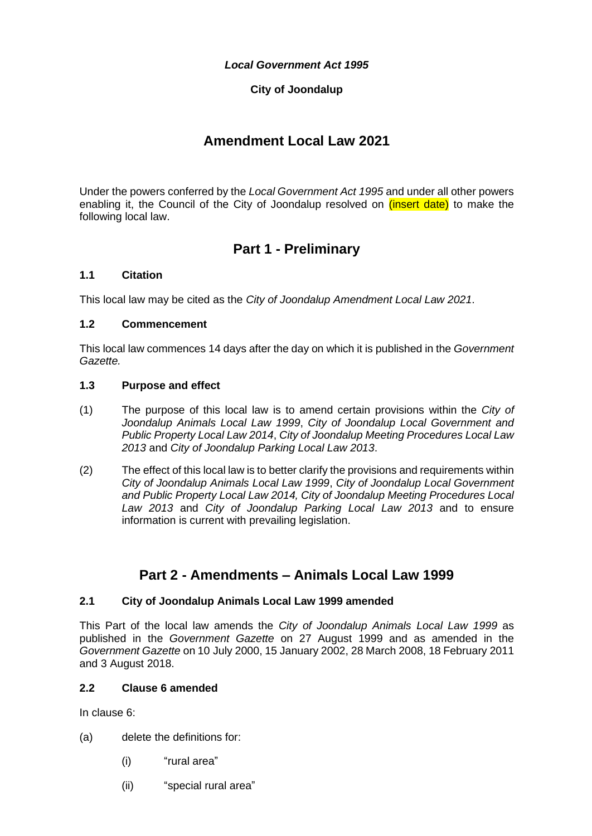### *Local Government Act 1995*

# **City of Joondalup**

# **Amendment Local Law 2021**

<span id="page-3-0"></span>Under the powers conferred by the *Local Government Act 1995* and under all other powers enabling it, the Council of the City of Joondalup resolved on *(insert date)* to make the following local law.

# **Part 1 - Preliminary**

#### <span id="page-3-1"></span>**1.1 Citation**

This local law may be cited as the *City of Joondalup Amendment Local Law 2021*.

#### <span id="page-3-2"></span>**1.2 Commencement**

This local law commences 14 days after the day on which it is published in the *Government Gazette.*

### <span id="page-3-3"></span>**1.3 Purpose and effect**

- (1) The purpose of this local law is to amend certain provisions within the *City of Joondalup Animals Local Law 1999*, *City of Joondalup Local Government and Public Property Local Law 2014*, *City of Joondalup Meeting Procedures Local Law 2013* and *City of Joondalup Parking Local Law 2013*.
- (2) The effect of this local law is to better clarify the provisions and requirements within *City of Joondalup Animals Local Law 1999*, *City of Joondalup Local Government and Public Property Local Law 2014, City of Joondalup Meeting Procedures Local Law 2013* and *City of Joondalup Parking Local Law 2013* and to ensure information is current with prevailing legislation.

# **Part 2 - Amendments – Animals Local Law 1999**

### <span id="page-3-5"></span><span id="page-3-4"></span>**2.1 City of Joondalup Animals Local Law 1999 amended**

This Part of the local law amends the *City of Joondalup Animals Local Law 1999* as published in the *Government Gazette* on 27 August 1999 and as amended in the *Government Gazette* on 10 July 2000, 15 January 2002, 28 March 2008, 18 February 2011 and 3 August 2018.

### <span id="page-3-6"></span>**2.2 Clause 6 amended**

In clause 6:

- (a) delete the definitions for:
	- (i) "rural area"
	- (ii) "special rural area"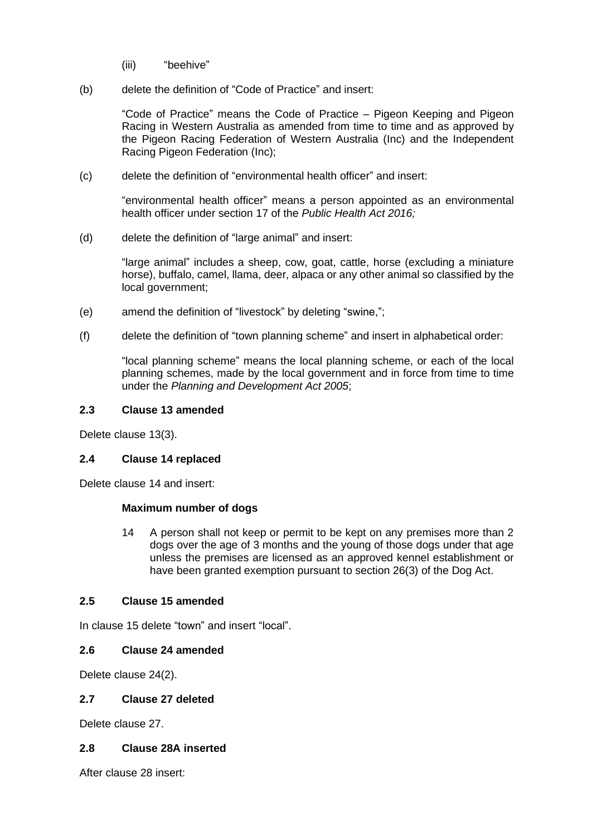- (iii) "beehive"
- (b) delete the definition of "Code of Practice" and insert:

"Code of Practice" means the Code of Practice – Pigeon Keeping and Pigeon Racing in Western Australia as amended from time to time and as approved by the Pigeon Racing Federation of Western Australia (Inc) and the Independent Racing Pigeon Federation (Inc);

(c) delete the definition of "environmental health officer" and insert:

"environmental health officer" means a person appointed as an environmental health officer under section 17 of the *Public Health Act 2016;* 

(d) delete the definition of "large animal" and insert:

"large animal" includes a sheep, cow, goat, cattle, horse (excluding a miniature horse), buffalo, camel, llama, deer, alpaca or any other animal so classified by the local government;

- (e) amend the definition of "livestock" by deleting "swine,";
- (f) delete the definition of "town planning scheme" and insert in alphabetical order:

"local planning scheme" means the local planning scheme, or each of the local planning schemes, made by the local government and in force from time to time under the *Planning and Development Act 2005*;

#### <span id="page-4-0"></span>**2.3 Clause 13 amended**

Delete clause 13(3).

### <span id="page-4-1"></span>**2.4 Clause 14 replaced**

Delete clause 14 and insert:

### **Maximum number of dogs**

14 A person shall not keep or permit to be kept on any premises more than 2 dogs over the age of 3 months and the young of those dogs under that age unless the premises are licensed as an approved kennel establishment or have been granted exemption pursuant to section 26(3) of the Dog Act.

### <span id="page-4-2"></span>**2.5 Clause 15 amended**

In clause 15 delete "town" and insert "local".

### <span id="page-4-3"></span>**2.6 Clause 24 amended**

Delete clause 24(2).

#### <span id="page-4-4"></span>**2.7 Clause 27 deleted**

Delete clause 27.

### <span id="page-4-5"></span>**2.8 Clause 28A inserted**

After clause 28 insert: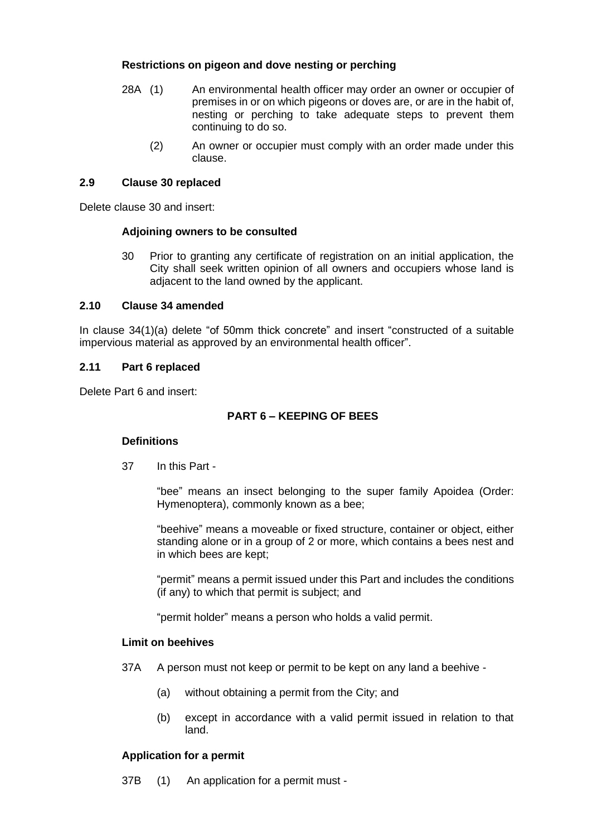# **Restrictions on pigeon and dove nesting or perching**

- 28A (1) An environmental health officer may order an owner or occupier of premises in or on which pigeons or doves are, or are in the habit of, nesting or perching to take adequate steps to prevent them continuing to do so.
	- (2) An owner or occupier must comply with an order made under this clause.

## <span id="page-5-0"></span>**2.9 Clause 30 replaced**

Delete clause 30 and insert:

### **Adjoining owners to be consulted**

30 Prior to granting any certificate of registration on an initial application, the City shall seek written opinion of all owners and occupiers whose land is adjacent to the land owned by the applicant.

# <span id="page-5-1"></span>**2.10 Clause 34 amended**

In clause 34(1)(a) delete "of 50mm thick concrete" and insert "constructed of a suitable impervious material as approved by an environmental health officer".

# <span id="page-5-2"></span>**2.11 Part 6 replaced**

Delete Part 6 and insert:

# **PART 6 – KEEPING OF BEES**

### **Definitions**

37 In this Part -

"bee" means an insect belonging to the super family Apoidea (Order: Hymenoptera), commonly known as a bee;

"beehive" means a moveable or fixed structure, container or object, either standing alone or in a group of 2 or more, which contains a bees nest and in which bees are kept;

"permit" means a permit issued under this Part and includes the conditions (if any) to which that permit is subject; and

"permit holder" means a person who holds a valid permit.

### **Limit on beehives**

37A A person must not keep or permit to be kept on any land a beehive -

- (a) without obtaining a permit from the City; and
- (b) except in accordance with a valid permit issued in relation to that land.

### **Application for a permit**

37B (1) An application for a permit must -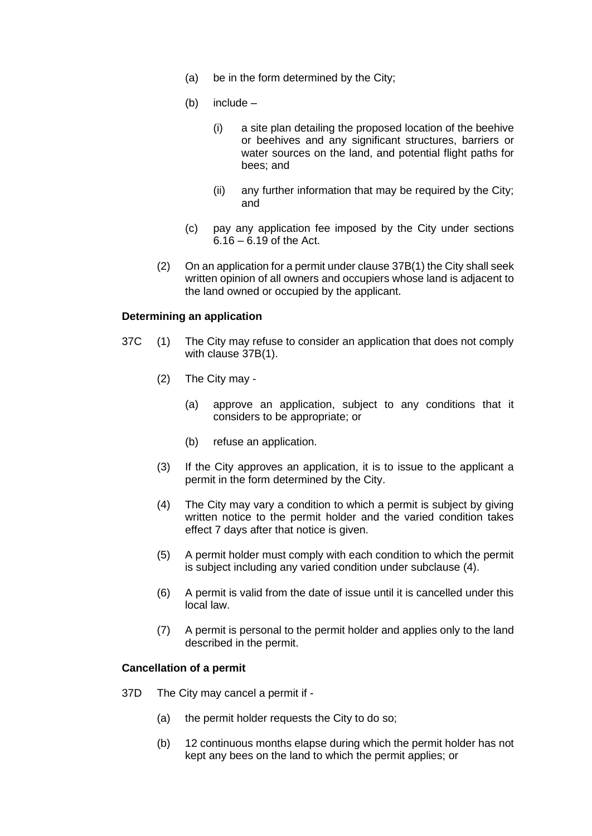- (a) be in the form determined by the City;
- (b) include
	- (i) a site plan detailing the proposed location of the beehive or beehives and any significant structures, barriers or water sources on the land, and potential flight paths for bees; and
	- (ii) any further information that may be required by the City; and
- (c) pay any application fee imposed by the City under sections 6.16 – 6.19 of the Act.
- (2) On an application for a permit under clause 37B(1) the City shall seek written opinion of all owners and occupiers whose land is adjacent to the land owned or occupied by the applicant.

#### **Determining an application**

- 37C (1) The City may refuse to consider an application that does not comply with clause 37B(1).
	- (2) The City may
		- (a) approve an application, subject to any conditions that it considers to be appropriate; or
		- (b) refuse an application.
	- (3) If the City approves an application, it is to issue to the applicant a permit in the form determined by the City.
	- (4) The City may vary a condition to which a permit is subject by giving written notice to the permit holder and the varied condition takes effect 7 days after that notice is given.
	- (5) A permit holder must comply with each condition to which the permit is subject including any varied condition under subclause (4).
	- (6) A permit is valid from the date of issue until it is cancelled under this local law.
	- (7) A permit is personal to the permit holder and applies only to the land described in the permit.

#### **Cancellation of a permit**

- 37D The City may cancel a permit if
	- (a) the permit holder requests the City to do so;
	- (b) 12 continuous months elapse during which the permit holder has not kept any bees on the land to which the permit applies; or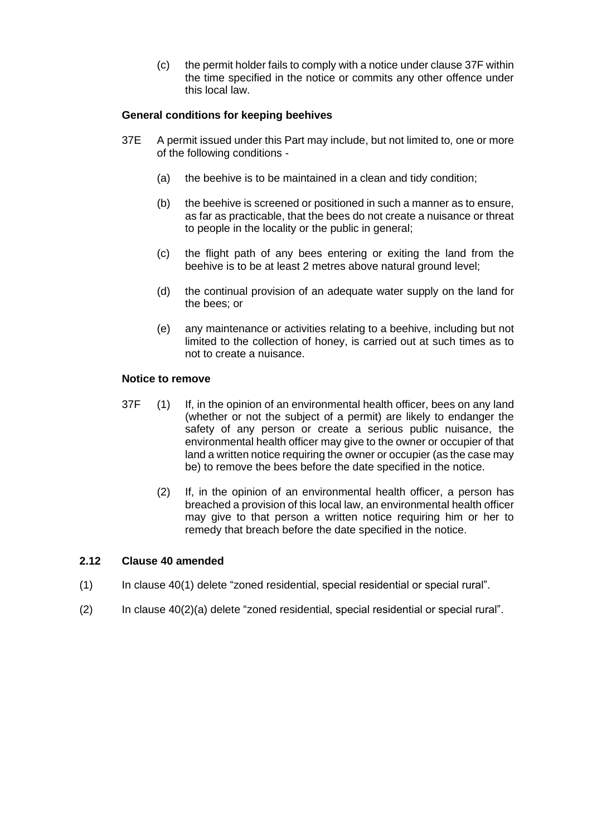(c) the permit holder fails to comply with a notice under clause 37F within the time specified in the notice or commits any other offence under this local law.

## **General conditions for keeping beehives**

- 37E A permit issued under this Part may include, but not limited to, one or more of the following conditions -
	- (a) the beehive is to be maintained in a clean and tidy condition;
	- (b) the beehive is screened or positioned in such a manner as to ensure, as far as practicable, that the bees do not create a nuisance or threat to people in the locality or the public in general;
	- (c) the flight path of any bees entering or exiting the land from the beehive is to be at least 2 metres above natural ground level;
	- (d) the continual provision of an adequate water supply on the land for the bees; or
	- (e) any maintenance or activities relating to a beehive, including but not limited to the collection of honey, is carried out at such times as to not to create a nuisance.

#### **Notice to remove**

- 37F (1) If, in the opinion of an environmental health officer, bees on any land (whether or not the subject of a permit) are likely to endanger the safety of any person or create a serious public nuisance, the environmental health officer may give to the owner or occupier of that land a written notice requiring the owner or occupier (as the case may be) to remove the bees before the date specified in the notice.
	- (2) If, in the opinion of an environmental health officer, a person has breached a provision of this local law, an environmental health officer may give to that person a written notice requiring him or her to remedy that breach before the date specified in the notice.

#### <span id="page-7-0"></span>**2.12 Clause 40 amended**

- (1) In clause 40(1) delete "zoned residential, special residential or special rural".
- (2) In clause 40(2)(a) delete "zoned residential, special residential or special rural".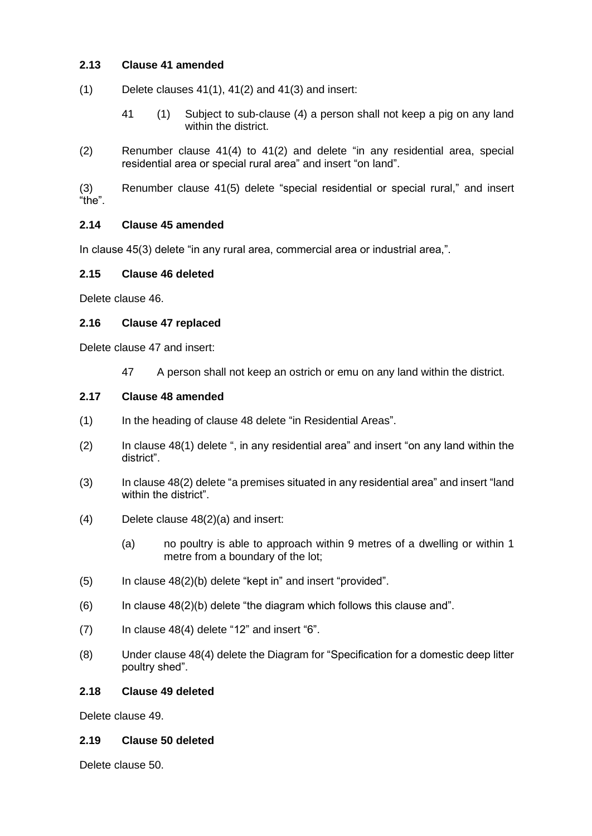# <span id="page-8-0"></span>**2.13 Clause 41 amended**

- $(1)$  Delete clauses 41(1), 41(2) and 41(3) and insert:
	- 41 (1) Subject to sub-clause (4) a person shall not keep a pig on any land within the district.
- (2) Renumber clause 41(4) to 41(2) and delete "in any residential area, special residential area or special rural area" and insert "on land".

(3) Renumber clause 41(5) delete "special residential or special rural," and insert "the".

# <span id="page-8-1"></span>**2.14 Clause 45 amended**

In clause 45(3) delete "in any rural area, commercial area or industrial area,".

# <span id="page-8-2"></span>**2.15 Clause 46 deleted**

Delete clause 46.

# <span id="page-8-3"></span>**2.16 Clause 47 replaced**

Delete clause 47 and insert:

47 A person shall not keep an ostrich or emu on any land within the district.

# <span id="page-8-4"></span>**2.17 Clause 48 amended**

- (1) In the heading of clause 48 delete "in Residential Areas".
- (2) In clause 48(1) delete ", in any residential area" and insert "on any land within the district".
- (3) In clause 48(2) delete "a premises situated in any residential area" and insert "land within the district".
- (4) Delete clause 48(2)(a) and insert:
	- (a) no poultry is able to approach within 9 metres of a dwelling or within 1 metre from a boundary of the lot;
- (5) In clause 48(2)(b) delete "kept in" and insert "provided".
- $(6)$  In clause  $48(2)(b)$  delete "the diagram which follows this clause and".
- $(7)$  In clause 48(4) delete "12" and insert "6".
- (8) Under clause 48(4) delete the Diagram for "Specification for a domestic deep litter poultry shed".

### <span id="page-8-5"></span>**2.18 Clause 49 deleted**

Delete clause 49.

### <span id="page-8-6"></span>**2.19 Clause 50 deleted**

Delete clause 50.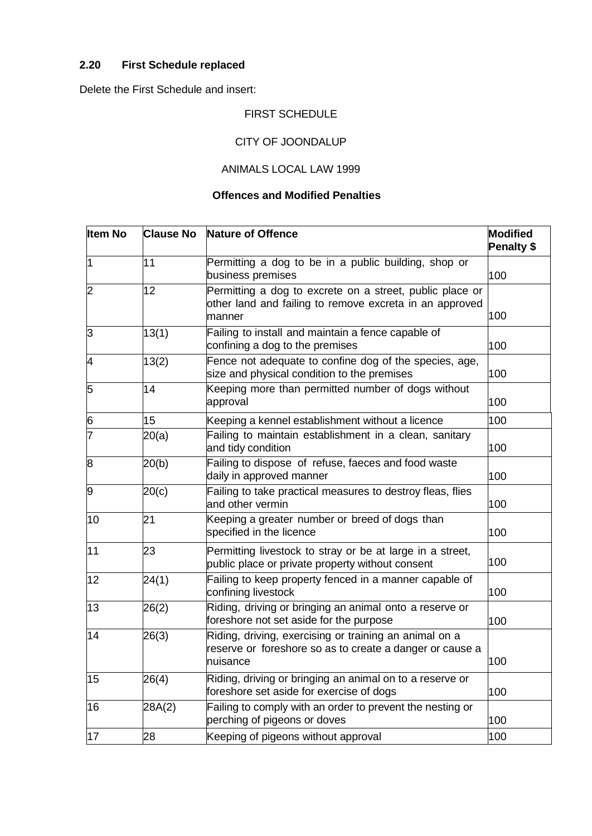# <span id="page-9-0"></span>**2.20 First Schedule replaced**

Delete the First Schedule and insert:

# FIRST SCHEDULE

# CITY OF JOONDALUP

# ANIMALS LOCAL LAW 1999

# **Offences and Modified Penalties**

| <b>Item No</b> | <b>Clause No</b> | <b>Nature of Offence</b>                                                                                                       | <b>Modified</b><br>Penalty \$ |
|----------------|------------------|--------------------------------------------------------------------------------------------------------------------------------|-------------------------------|
| 1              | 11               | Permitting a dog to be in a public building, shop or<br>business premises                                                      | 100                           |
| 2              | 12               | Permitting a dog to excrete on a street, public place or<br>other land and failing to remove excreta in an approved<br>manner  | 100                           |
| 3              | 13(1)            | Failing to install and maintain a fence capable of<br>confining a dog to the premises                                          | 100                           |
| 4              | 13(2)            | Fence not adequate to confine dog of the species, age,<br>size and physical condition to the premises                          | 100                           |
| 5              | 14               | Keeping more than permitted number of dogs without<br>approval                                                                 | 100                           |
| 6              | 15               | Keeping a kennel establishment without a licence                                                                               | 100                           |
| 7              | 20(a)            | Failing to maintain establishment in a clean, sanitary<br>and tidy condition                                                   | 100                           |
| 8              | 20(b)            | Failing to dispose of refuse, faeces and food waste<br>daily in approved manner                                                | 100                           |
| 9              | 20(c)            | Failing to take practical measures to destroy fleas, flies<br>and other vermin                                                 | 100                           |
| 10             | 21               | Keeping a greater number or breed of dogs than<br>specified in the licence                                                     | 100                           |
| 11             | 23               | Permitting livestock to stray or be at large in a street,<br>public place or private property without consent                  | 100                           |
| 12             | 24(1)            | Failing to keep property fenced in a manner capable of<br>confining livestock                                                  | 100                           |
| 13             | 26(2)            | Riding, driving or bringing an animal onto a reserve or<br>foreshore not set aside for the purpose                             | 100                           |
| 14             | 26(3)            | Riding, driving, exercising or training an animal on a<br>reserve or foreshore so as to create a danger or cause a<br>nuisance | 100                           |
| 15             | 26(4)            | Riding, driving or bringing an animal on to a reserve or<br>foreshore set aside for exercise of dogs                           | 100                           |
| 16             | 28A(2)           | Failing to comply with an order to prevent the nesting or<br>perching of pigeons or doves                                      | 100                           |
| 17             | 28               | Keeping of pigeons without approval                                                                                            | 100                           |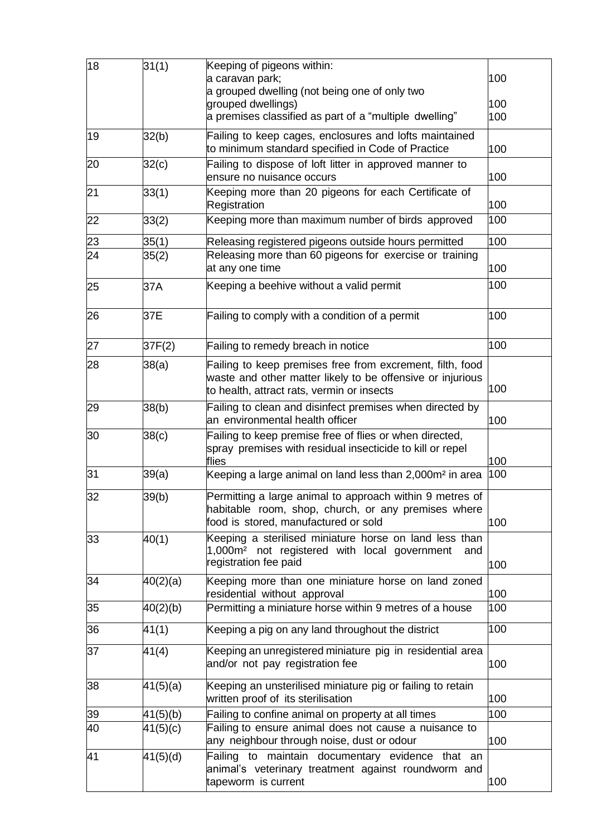| 18 | 31(1)    | Keeping of pigeons within:<br>a caravan park;<br>a grouped dwelling (not being one of only two                                                                        | 100        |
|----|----------|-----------------------------------------------------------------------------------------------------------------------------------------------------------------------|------------|
|    |          | grouped dwellings)<br>a premises classified as part of a "multiple dwelling"                                                                                          | 100<br>100 |
| 19 | 32(b)    | Failing to keep cages, enclosures and lofts maintained<br>to minimum standard specified in Code of Practice                                                           | 100        |
| 20 | 32(c)    | Failing to dispose of loft litter in approved manner to<br>ensure no nuisance occurs                                                                                  | 100        |
| 21 | 33(1)    | Keeping more than 20 pigeons for each Certificate of<br>Registration                                                                                                  | 100        |
| 22 | 33(2)    | Keeping more than maximum number of birds approved                                                                                                                    | 100        |
| 23 | 35(1)    | Releasing registered pigeons outside hours permitted                                                                                                                  | 100        |
| 24 | 35(2)    | Releasing more than 60 pigeons for exercise or training<br>at any one time                                                                                            | 100        |
| 25 | 37A      | Keeping a beehive without a valid permit                                                                                                                              | 100        |
| 26 | 37E      | Failing to comply with a condition of a permit                                                                                                                        | 100        |
| 27 | 37F(2)   | Failing to remedy breach in notice                                                                                                                                    | 100        |
| 28 | 38(a)    | Failing to keep premises free from excrement, filth, food<br>waste and other matter likely to be offensive or injurious<br>to health, attract rats, vermin or insects | 100        |
| 29 | 38(b)    | Failing to clean and disinfect premises when directed by<br>an environmental health officer                                                                           | 100        |
| 30 | 38(c)    | Failing to keep premise free of flies or when directed,<br>spray premises with residual insecticide to kill or repel<br>flies                                         | 100        |
| 31 | 39(a)    | Keeping a large animal on land less than 2,000m <sup>2</sup> in area                                                                                                  | 100        |
| 32 | 39(b)    | Permitting a large animal to approach within 9 metres of<br>habitable room, shop, church, or any premises where<br>food is stored, manufactured or sold               | 100        |
| 33 | 40(1)    | Keeping a sterilised miniature horse on land less than<br>1,000m <sup>2</sup> not registered with local government<br>and<br>registration fee paid                    | 100        |
| 34 | 40(2)(a) | Keeping more than one miniature horse on land zoned<br>residential without approval                                                                                   | 100        |
| 35 | 40(2)(b) | Permitting a miniature horse within 9 metres of a house                                                                                                               | 100        |
| 36 | 41(1)    | Keeping a pig on any land throughout the district                                                                                                                     | 100        |
| 37 | 41(4)    | Keeping an unregistered miniature pig in residential area<br>and/or not pay registration fee                                                                          | 100        |
| 38 | 41(5)(a) | Keeping an unsterilised miniature pig or failing to retain<br>written proof of its sterilisation                                                                      | 100        |
| 39 | 41(5)(b) | Failing to confine animal on property at all times                                                                                                                    | 100        |
| 40 | 41(5)(c) | Failing to ensure animal does not cause a nuisance to<br>any neighbour through noise, dust or odour                                                                   | 100        |
| 41 | 41(5)(d) | Failing to maintain documentary evidence that an<br>animal's veterinary treatment against roundworm and<br>tapeworm is current                                        | 100        |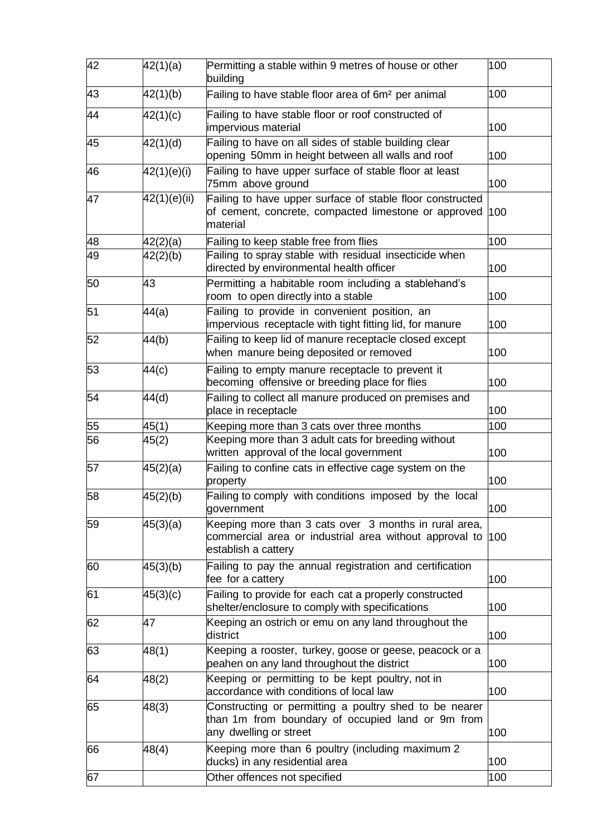| 42 | 42(1)(a)     | Permitting a stable within 9 metres of house or other<br>building                                                                      | 100 |
|----|--------------|----------------------------------------------------------------------------------------------------------------------------------------|-----|
| 43 | 42(1)(b)     | Failing to have stable floor area of 6m <sup>2</sup> per animal                                                                        | 100 |
| 44 | 42(1)(c)     | Failing to have stable floor or roof constructed of<br>impervious material                                                             | 100 |
| 45 | 42(1)(d)     | Failing to have on all sides of stable building clear<br>opening 50mm in height between all walls and roof                             | 100 |
| 46 | 42(1)(e)(i)  | Failing to have upper surface of stable floor at least<br>75mm above ground                                                            | 100 |
| 47 | 42(1)(e)(ii) | Failing to have upper surface of stable floor constructed<br>of cement, concrete, compacted limestone or approved<br>material          | 100 |
| 48 | 42(2)(a)     | Failing to keep stable free from flies                                                                                                 | 100 |
| 49 | 42(2)(b)     | Failing to spray stable with residual insecticide when<br>directed by environmental health officer                                     | 100 |
| 50 | 43           | Permitting a habitable room including a stablehand's<br>room to open directly into a stable                                            | 100 |
| 51 | 44(a)        | Failing to provide in convenient position, an<br>impervious receptacle with tight fitting lid, for manure                              | 100 |
| 52 | 44(b)        | Failing to keep lid of manure receptacle closed except<br>when manure being deposited or removed                                       | 100 |
| 53 | 44(c)        | Failing to empty manure receptacle to prevent it<br>becoming offensive or breeding place for flies                                     | 100 |
| 54 | 44(d)        | Failing to collect all manure produced on premises and<br>place in receptacle                                                          | 100 |
| 55 | 45(1)        | Keeping more than 3 cats over three months                                                                                             | 100 |
| 56 | 45(2)        | Keeping more than 3 adult cats for breeding without<br>written approval of the local government                                        | 100 |
| 57 | 45(2)(a)     | Failing to confine cats in effective cage system on the<br>property                                                                    | 100 |
| 58 | 45(2)(b)     | Failing to comply with conditions imposed by the local<br>government                                                                   | 100 |
| 59 | 45(3)(a)     | Keeping more than 3 cats over 3 months in rural area,<br>commercial area or industrial area without approval to<br>establish a cattery | 100 |
| 60 | 45(3)(b)     | Failing to pay the annual registration and certification<br>fee for a cattery                                                          | 100 |
| 61 | 45(3)(c)     | Failing to provide for each cat a properly constructed<br>shelter/enclosure to comply with specifications                              | 100 |
| 62 | 47           | Keeping an ostrich or emu on any land throughout the<br>district                                                                       | 100 |
| 63 | 48(1)        | Keeping a rooster, turkey, goose or geese, peacock or a<br>peahen on any land throughout the district                                  | 100 |
| 64 | 48(2)        | Keeping or permitting to be kept poultry, not in<br>accordance with conditions of local law                                            | 100 |
| 65 | 48(3)        | Constructing or permitting a poultry shed to be nearer<br>than 1m from boundary of occupied land or 9m from<br>any dwelling or street  | 100 |
| 66 | 48(4)        | Keeping more than 6 poultry (including maximum 2<br>ducks) in any residential area                                                     | 100 |
| 67 |              | Other offences not specified                                                                                                           | 100 |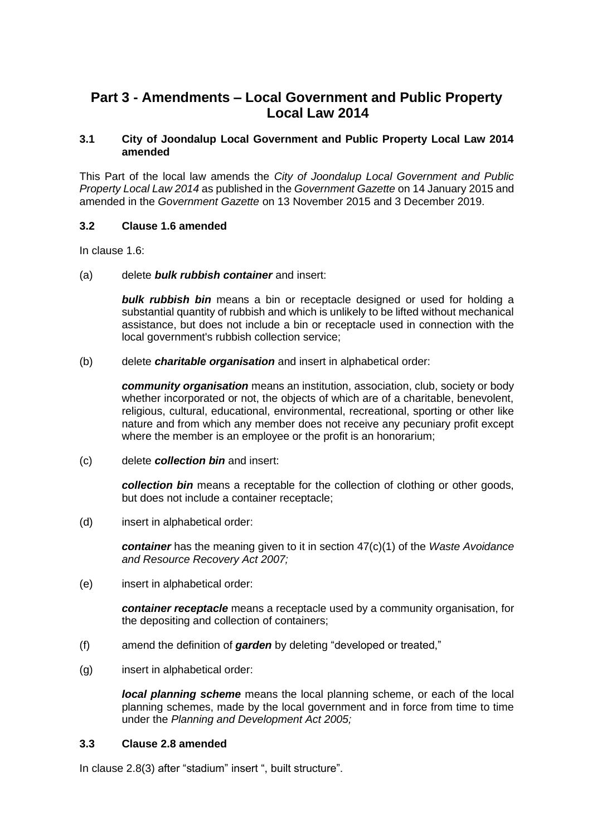# <span id="page-12-0"></span>**Part 3 - Amendments – Local Government and Public Property Local Law 2014**

### <span id="page-12-1"></span>**3.1 City of Joondalup Local Government and Public Property Local Law 2014 amended**

This Part of the local law amends the *City of Joondalup Local Government and Public Property Local Law 2014* as published in the *Government Gazette* on 14 January 2015 and amended in the *Government Gazette* on 13 November 2015 and 3 December 2019.

# <span id="page-12-2"></span>**3.2 Clause 1.6 amended**

In clause 1.6:

(a) delete *bulk rubbish container* and insert:

*bulk rubbish bin* means a bin or receptacle designed or used for holding a substantial quantity of rubbish and which is unlikely to be lifted without mechanical assistance, but does not include a bin or receptacle used in connection with the local government's rubbish collection service;

(b) delete *charitable organisation* and insert in alphabetical order:

*community organisation* means an institution, association, club, society or body whether incorporated or not, the objects of which are of a charitable, benevolent, religious, cultural, educational, environmental, recreational, sporting or other like nature and from which any member does not receive any pecuniary profit except where the member is an employee or the profit is an honorarium;

(c) delete *collection bin* and insert:

*collection bin* means a receptable for the collection of clothing or other goods, but does not include a container receptacle;

(d) insert in alphabetical order:

*container* has the meaning given to it in section 47(c)(1) of the *Waste Avoidance and Resource Recovery Act 2007;*

(e) insert in alphabetical order:

*container receptacle* means a receptacle used by a community organisation, for the depositing and collection of containers;

- (f) amend the definition of *garden* by deleting "developed or treated,"
- (g) insert in alphabetical order:

*local planning scheme* means the local planning scheme, or each of the local planning schemes, made by the local government and in force from time to time under the *Planning and Development Act 2005;*

### <span id="page-12-3"></span>**3.3 Clause 2.8 amended**

In clause 2.8(3) after "stadium" insert ", built structure".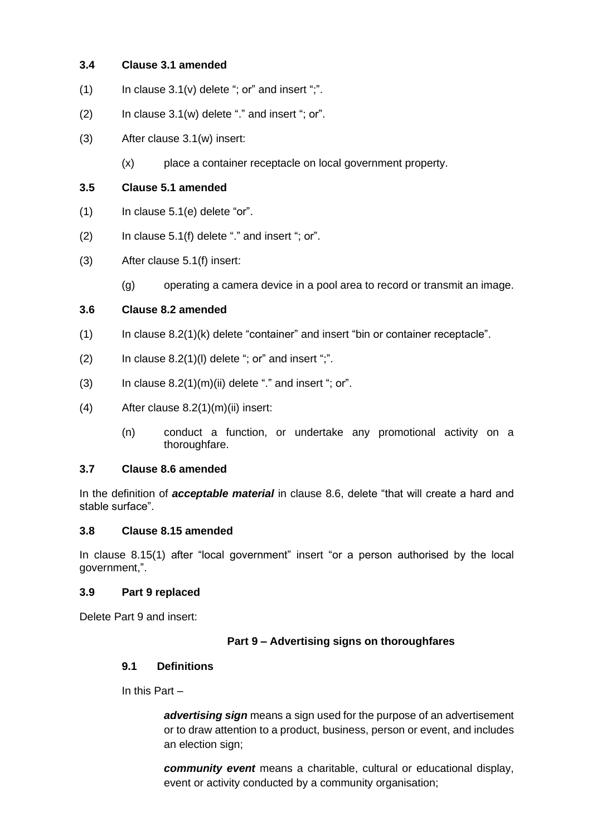# <span id="page-13-0"></span>**3.4 Clause 3.1 amended**

- (1) In clause  $3.1(v)$  delete "; or" and insert ";".
- $(2)$  In clause  $3.1(w)$  delete "." and insert "; or".
- (3) After clause 3.1(w) insert:
	- (x) place a container receptacle on local government property.

## <span id="page-13-1"></span>**3.5 Clause 5.1 amended**

- (1) In clause 5.1(e) delete "or".
- $(2)$  In clause 5.1(f) delete "." and insert "; or".
- (3) After clause 5.1(f) insert:
	- (g) operating a camera device in a pool area to record or transmit an image.

# <span id="page-13-2"></span>**3.6 Clause 8.2 amended**

- (1) In clause 8.2(1)(k) delete "container" and insert "bin or container receptacle".
- $(2)$  In clause 8.2(1)(I) delete "; or" and insert ";".
- (3) In clause  $8.2(1)(m)(ii)$  delete "." and insert "; or".
- (4) After clause 8.2(1)(m)(ii) insert:
	- (n) conduct a function, or undertake any promotional activity on a thoroughfare.

### <span id="page-13-3"></span>**3.7 Clause 8.6 amended**

In the definition of *acceptable material* in clause 8.6, delete "that will create a hard and stable surface".

### <span id="page-13-4"></span>**3.8 Clause 8.15 amended**

In clause 8.15(1) after "local government" insert "or a person authorised by the local government,".

### <span id="page-13-5"></span>**3.9 Part 9 replaced**

Delete Part 9 and insert:

### **Part 9 – Advertising signs on thoroughfares**

### **9.1 Definitions**

In this Part –

*advertising sign* means a sign used for the purpose of an advertisement or to draw attention to a product, business, person or event, and includes an election sign;

*community event* means a charitable, cultural or educational display, event or activity conducted by a community organisation;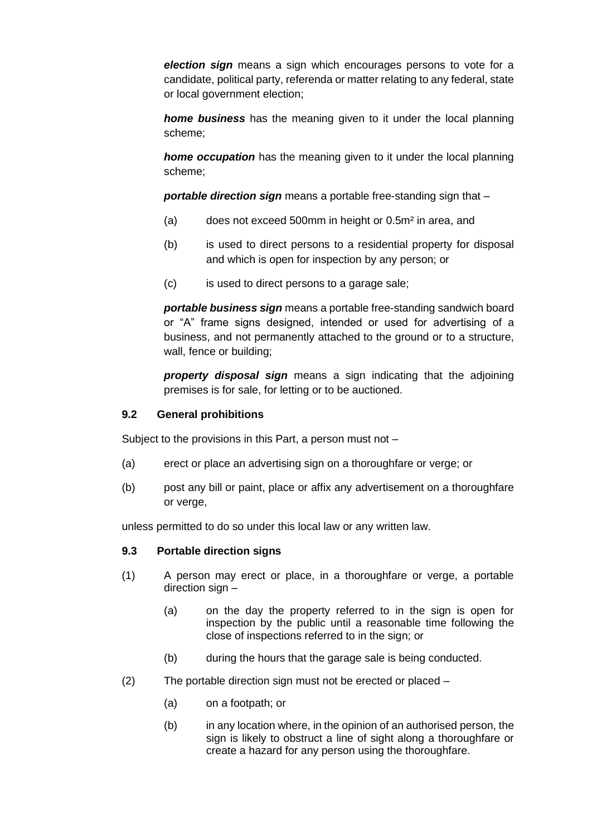*election sign* means a sign which encourages persons to vote for a candidate, political party, referenda or matter relating to any federal, state or local government election;

*home business* has the meaning given to it under the local planning scheme;

*home occupation* has the meaning given to it under the local planning scheme;

*portable direction sign* means a portable free-standing sign that –

- (a) does not exceed 500mm in height or 0.5m² in area, and
- (b) is used to direct persons to a residential property for disposal and which is open for inspection by any person; or
- (c) is used to direct persons to a garage sale;

*portable business sign* means a portable free-standing sandwich board or "A" frame signs designed, intended or used for advertising of a business, and not permanently attached to the ground or to a structure, wall, fence or building;

*property disposal sign* means a sign indicating that the adjoining premises is for sale, for letting or to be auctioned.

## **9.2 General prohibitions**

Subject to the provisions in this Part, a person must not –

- (a) erect or place an advertising sign on a thoroughfare or verge; or
- (b) post any bill or paint, place or affix any advertisement on a thoroughfare or verge,

unless permitted to do so under this local law or any written law.

### **9.3 Portable direction signs**

- (1) A person may erect or place, in a thoroughfare or verge, a portable direction sign –
	- (a) on the day the property referred to in the sign is open for inspection by the public until a reasonable time following the close of inspections referred to in the sign; or
	- (b) during the hours that the garage sale is being conducted.
- (2) The portable direction sign must not be erected or placed
	- (a) on a footpath; or
	- (b) in any location where, in the opinion of an authorised person, the sign is likely to obstruct a line of sight along a thoroughfare or create a hazard for any person using the thoroughfare.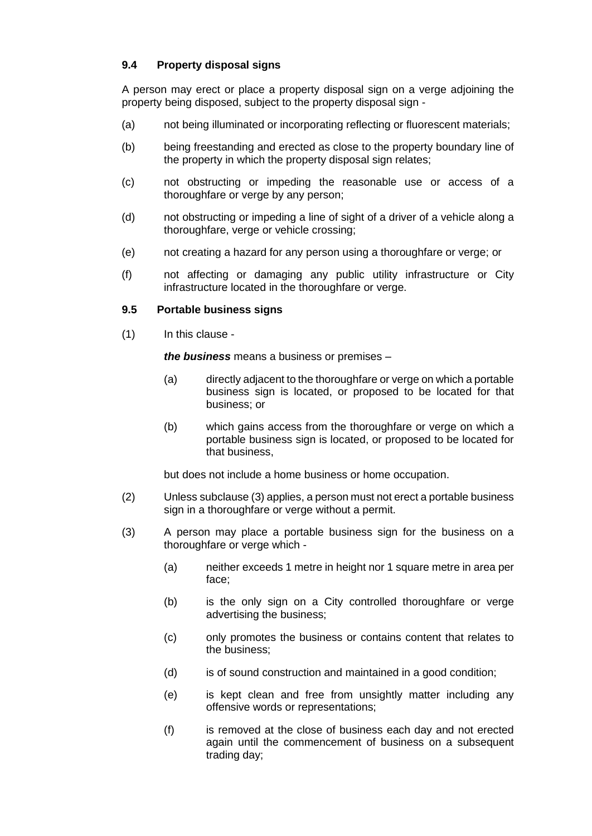# **9.4 Property disposal signs**

A person may erect or place a property disposal sign on a verge adjoining the property being disposed, subject to the property disposal sign -

- (a) not being illuminated or incorporating reflecting or fluorescent materials;
- (b) being freestanding and erected as close to the property boundary line of the property in which the property disposal sign relates;
- (c) not obstructing or impeding the reasonable use or access of a thoroughfare or verge by any person;
- (d) not obstructing or impeding a line of sight of a driver of a vehicle along a thoroughfare, verge or vehicle crossing;
- (e) not creating a hazard for any person using a thoroughfare or verge; or
- (f) not affecting or damaging any public utility infrastructure or City infrastructure located in the thoroughfare or verge.

### **9.5 Portable business signs**

(1) In this clause -

*the business* means a business or premises –

- (a) directly adjacent to the thoroughfare or verge on which a portable business sign is located, or proposed to be located for that business; or
- (b) which gains access from the thoroughfare or verge on which a portable business sign is located, or proposed to be located for that business,

but does not include a home business or home occupation.

- (2) Unless subclause (3) applies, a person must not erect a portable business sign in a thoroughfare or verge without a permit.
- (3) A person may place a portable business sign for the business on a thoroughfare or verge which -
	- (a) neither exceeds 1 metre in height nor 1 square metre in area per face;
	- (b) is the only sign on a City controlled thoroughfare or verge advertising the business;
	- (c) only promotes the business or contains content that relates to the business;
	- (d) is of sound construction and maintained in a good condition;
	- (e) is kept clean and free from unsightly matter including any offensive words or representations;
	- (f) is removed at the close of business each day and not erected again until the commencement of business on a subsequent trading day;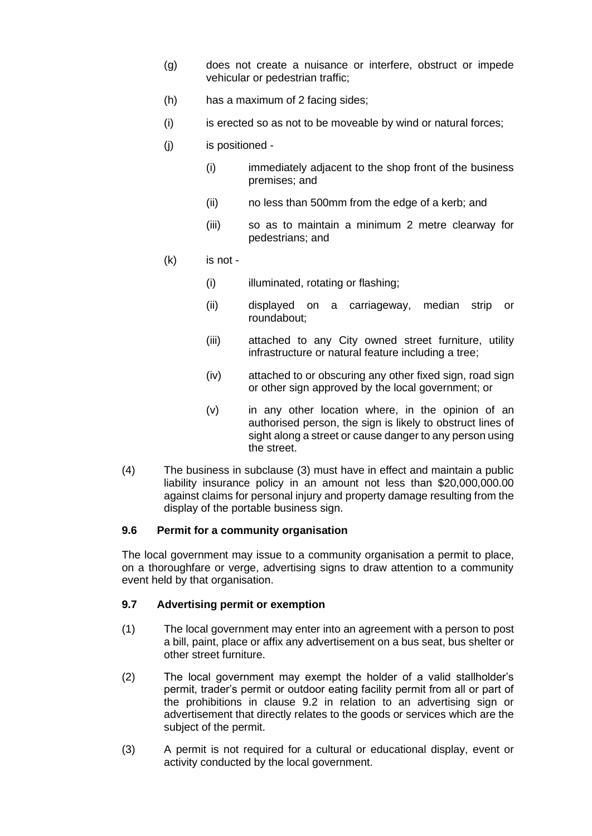- (g) does not create a nuisance or interfere, obstruct or impede vehicular or pedestrian traffic;
- (h) has a maximum of 2 facing sides;
- (i) is erected so as not to be moveable by wind or natural forces;
- (j) is positioned
	- (i) immediately adjacent to the shop front of the business premises; and
	- (ii) no less than 500mm from the edge of a kerb; and
	- (iii) so as to maintain a minimum 2 metre clearway for pedestrians; and
- (k) is not
	- (i) illuminated, rotating or flashing;
	- (ii) displayed on a carriageway, median strip or roundabout;
	- (iii) attached to any City owned street furniture, utility infrastructure or natural feature including a tree;
	- (iv) attached to or obscuring any other fixed sign, road sign or other sign approved by the local government; or
	- (v) in any other location where, in the opinion of an authorised person, the sign is likely to obstruct lines of sight along a street or cause danger to any person using the street.
- (4) The business in subclause (3) must have in effect and maintain a public liability insurance policy in an amount not less than \$20,000,000.00 against claims for personal injury and property damage resulting from the display of the portable business sign.

### **9.6 Permit for a community organisation**

The local government may issue to a community organisation a permit to place, on a thoroughfare or verge, advertising signs to draw attention to a community event held by that organisation.

### **9.7 Advertising permit or exemption**

- (1) The local government may enter into an agreement with a person to post a bill, paint, place or affix any advertisement on a bus seat, bus shelter or other street furniture.
- (2) The local government may exempt the holder of a valid stallholder's permit, trader's permit or outdoor eating facility permit from all or part of the prohibitions in clause 9.2 in relation to an advertising sign or advertisement that directly relates to the goods or services which are the subject of the permit.
- (3) A permit is not required for a cultural or educational display, event or activity conducted by the local government.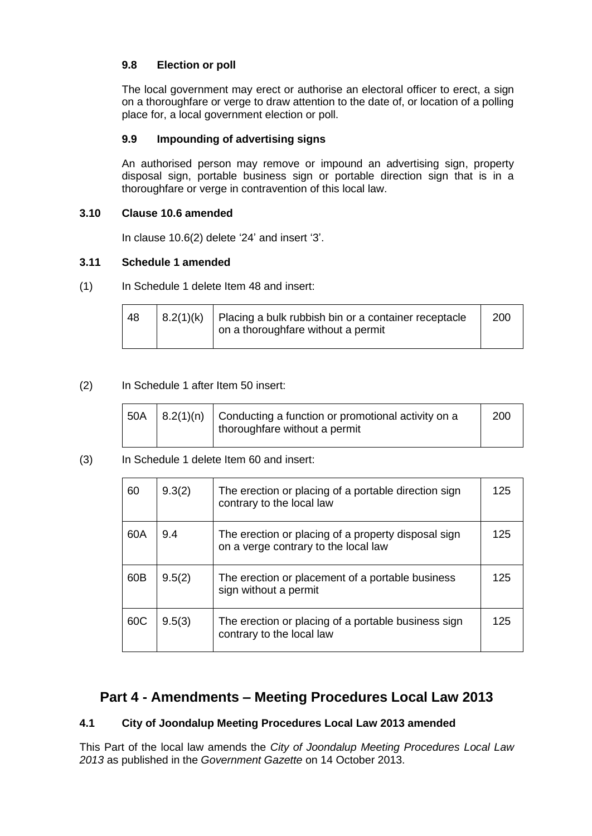# **9.8 Election or poll**

The local government may erect or authorise an electoral officer to erect, a sign on a thoroughfare or verge to draw attention to the date of, or location of a polling place for, a local government election or poll.

# **9.9 Impounding of advertising signs**

An authorised person may remove or impound an advertising sign, property disposal sign, portable business sign or portable direction sign that is in a thoroughfare or verge in contravention of this local law.

# <span id="page-17-0"></span>**3.10 Clause 10.6 amended**

In clause 10.6(2) delete '24' and insert '3'.

# <span id="page-17-1"></span>**3.11 Schedule 1 amended**

(1) In Schedule 1 delete Item 48 and insert:

| 48 | $ 8.2(1)(k) $ Placing a bulk rubbish bin or a container receptacle<br>on a thoroughfare without a permit | 200 |
|----|----------------------------------------------------------------------------------------------------------|-----|
|    |                                                                                                          |     |

# (2) In Schedule 1 after Item 50 insert:

|  | $\vert$ 50A $\vert$ 8.2(1)(n) $\vert$ Conducting a function or promotional activity on a<br>thoroughfare without a permit | 200 |
|--|---------------------------------------------------------------------------------------------------------------------------|-----|
|  |                                                                                                                           |     |

# (3) In Schedule 1 delete Item 60 and insert:

| 60  | 9.3(2) | The erection or placing of a portable direction sign<br>contrary to the local law           | 125 |
|-----|--------|---------------------------------------------------------------------------------------------|-----|
| 60A | 9.4    | The erection or placing of a property disposal sign<br>on a verge contrary to the local law | 125 |
| 60B | 9.5(2) | The erection or placement of a portable business<br>sign without a permit                   | 125 |
| 60C | 9.5(3) | The erection or placing of a portable business sign<br>contrary to the local law            | 125 |

# <span id="page-17-2"></span>**Part 4 - Amendments – Meeting Procedures Local Law 2013**

# <span id="page-17-3"></span>**4.1 City of Joondalup Meeting Procedures Local Law 2013 amended**

This Part of the local law amends the *City of Joondalup Meeting Procedures Local Law 2013* as published in the *Government Gazette* on 14 October 2013.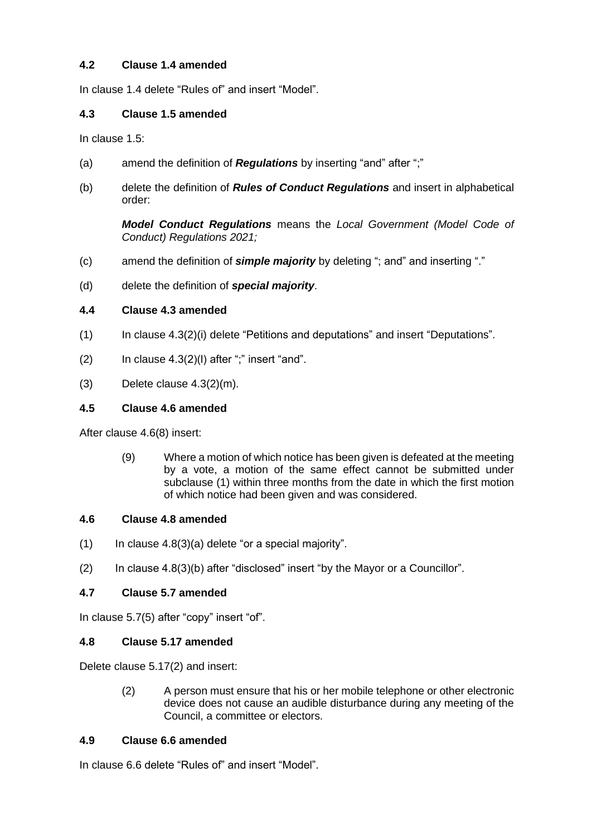# <span id="page-18-0"></span>**4.2 Clause 1.4 amended**

In clause 1.4 delete "Rules of" and insert "Model".

# <span id="page-18-1"></span>**4.3 Clause 1.5 amended**

In clause 1.5:

- (a) amend the definition of *Regulations* by inserting "and" after ";"
- (b) delete the definition of *Rules of Conduct Regulations* and insert in alphabetical order:

*Model Conduct Regulations* means the *Local Government (Model Code of Conduct) Regulations 2021;*

- (c) amend the definition of *simple majority* by deleting "; and" and inserting "."
- (d) delete the definition of *special majority*.

# <span id="page-18-2"></span>**4.4 Clause 4.3 amended**

- (1) In clause 4.3(2)(i) delete "Petitions and deputations" and insert "Deputations".
- $(2)$  In clause  $4.3(2)(1)$  after ";" insert "and".
- (3) Delete clause 4.3(2)(m).

# <span id="page-18-3"></span>**4.5 Clause 4.6 amended**

After clause 4.6(8) insert:

(9) Where a motion of which notice has been given is defeated at the meeting by a vote, a motion of the same effect cannot be submitted under subclause (1) within three months from the date in which the first motion of which notice had been given and was considered.

# <span id="page-18-4"></span>**4.6 Clause 4.8 amended**

- $(1)$  In clause 4.8(3)(a) delete "or a special majority".
- (2) In clause 4.8(3)(b) after "disclosed" insert "by the Mayor or a Councillor".

# <span id="page-18-5"></span>**4.7 Clause 5.7 amended**

In clause 5.7(5) after "copy" insert "of".

# <span id="page-18-6"></span>**4.8 Clause 5.17 amended**

Delete clause 5.17(2) and insert:

(2) A person must ensure that his or her mobile telephone or other electronic device does not cause an audible disturbance during any meeting of the Council, a committee or electors.

# <span id="page-18-7"></span>**4.9 Clause 6.6 amended**

In clause 6.6 delete "Rules of" and insert "Model".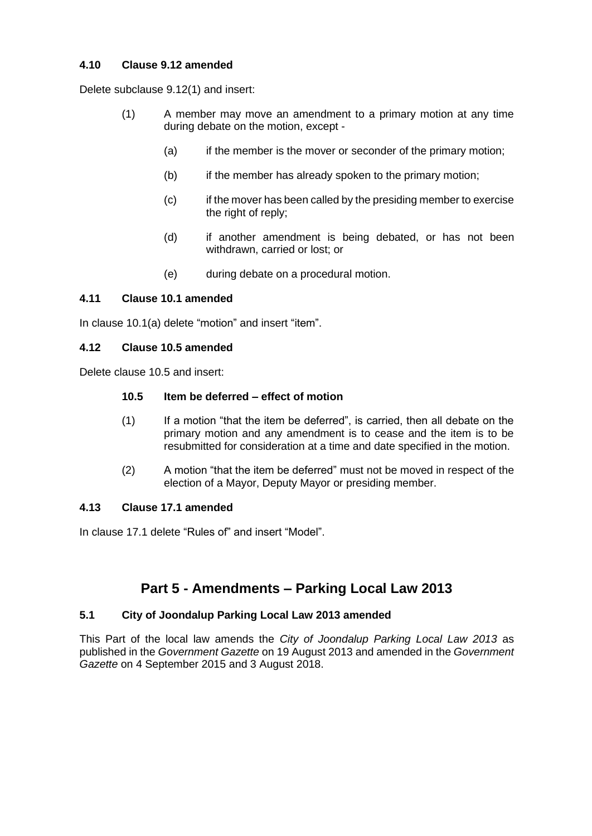# <span id="page-19-0"></span>**4.10 Clause 9.12 amended**

Delete subclause 9.12(1) and insert:

- (1) A member may move an amendment to a primary motion at any time during debate on the motion, except -
	- (a) if the member is the mover or seconder of the primary motion;
	- (b) if the member has already spoken to the primary motion;
	- (c) if the mover has been called by the presiding member to exercise the right of reply;
	- (d) if another amendment is being debated, or has not been withdrawn, carried or lost; or
	- (e) during debate on a procedural motion.

# <span id="page-19-1"></span>**4.11 Clause 10.1 amended**

In clause 10.1(a) delete "motion" and insert "item".

# <span id="page-19-2"></span>**4.12 Clause 10.5 amended**

Delete clause 10.5 and insert:

### **10.5 Item be deferred – effect of motion**

- (1) If a motion "that the item be deferred", is carried, then all debate on the primary motion and any amendment is to cease and the item is to be resubmitted for consideration at a time and date specified in the motion.
- (2) A motion "that the item be deferred" must not be moved in respect of the election of a Mayor, Deputy Mayor or presiding member.

### <span id="page-19-3"></span>**4.13 Clause 17.1 amended**

In clause 17.1 delete "Rules of" and insert "Model".

# **Part 5 - Amendments – Parking Local Law 2013**

### <span id="page-19-5"></span><span id="page-19-4"></span>**5.1 City of Joondalup Parking Local Law 2013 amended**

This Part of the local law amends the *City of Joondalup Parking Local Law 2013* as published in the *Government Gazette* on 19 August 2013 and amended in the *Government Gazette* on 4 September 2015 and 3 August 2018.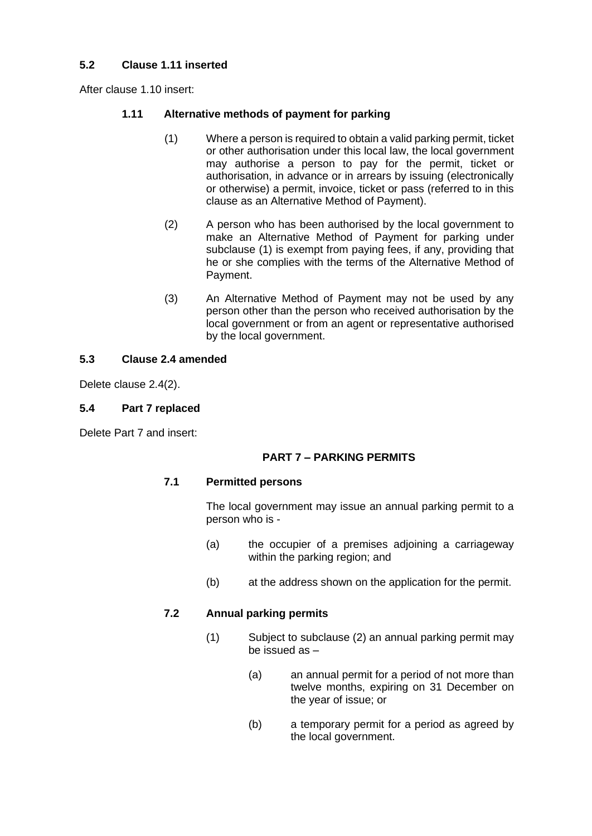# <span id="page-20-0"></span>**5.2 Clause 1.11 inserted**

After clause 1.10 insert:

# **1.11 Alternative methods of payment for parking**

- (1) Where a person is required to obtain a valid parking permit, ticket or other authorisation under this local law, the local government may authorise a person to pay for the permit, ticket or authorisation, in advance or in arrears by issuing (electronically or otherwise) a permit, invoice, ticket or pass (referred to in this clause as an Alternative Method of Payment).
- (2) A person who has been authorised by the local government to make an Alternative Method of Payment for parking under subclause (1) is exempt from paying fees, if any, providing that he or she complies with the terms of the Alternative Method of Payment.
- (3) An Alternative Method of Payment may not be used by any person other than the person who received authorisation by the local government or from an agent or representative authorised by the local government.

# <span id="page-20-1"></span>**5.3 Clause 2.4 amended**

Delete clause 2.4(2).

# <span id="page-20-2"></span>**5.4 Part 7 replaced**

Delete Part 7 and insert:

# **PART 7 – PARKING PERMITS**

### **7.1 Permitted persons**

The local government may issue an annual parking permit to a person who is -

- (a) the occupier of a premises adjoining a carriageway within the parking region; and
- (b) at the address shown on the application for the permit.

### **7.2 Annual parking permits**

- (1) Subject to subclause (2) an annual parking permit may be issued as –
	- (a) an annual permit for a period of not more than twelve months, expiring on 31 December on the year of issue; or
	- (b) a temporary permit for a period as agreed by the local government.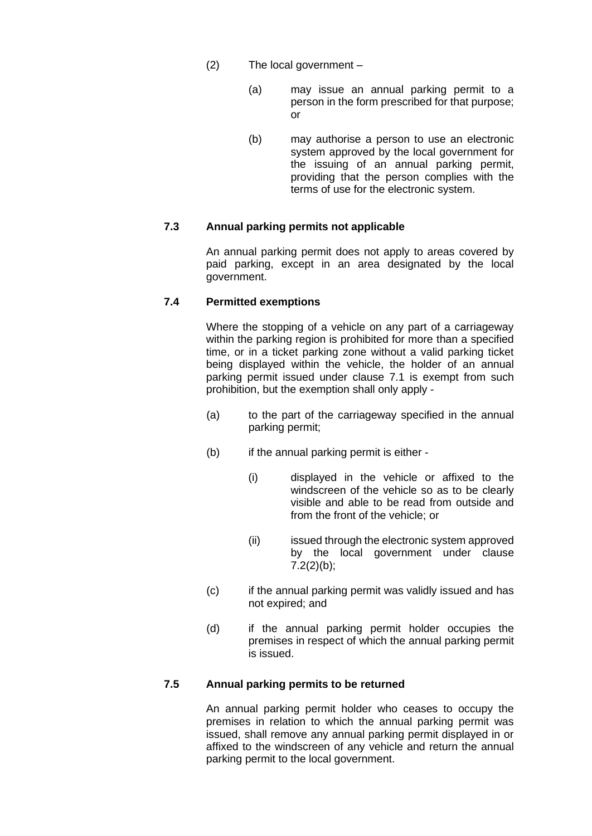- (2) The local government
	- (a) may issue an annual parking permit to a person in the form prescribed for that purpose; or
	- (b) may authorise a person to use an electronic system approved by the local government for the issuing of an annual parking permit, providing that the person complies with the terms of use for the electronic system.

### **7.3 Annual parking permits not applicable**

An annual parking permit does not apply to areas covered by paid parking, except in an area designated by the local government.

### **7.4 Permitted exemptions**

Where the stopping of a vehicle on any part of a carriageway within the parking region is prohibited for more than a specified time, or in a ticket parking zone without a valid parking ticket being displayed within the vehicle, the holder of an annual parking permit issued under clause 7.1 is exempt from such prohibition, but the exemption shall only apply -

- (a) to the part of the carriageway specified in the annual parking permit;
- (b) if the annual parking permit is either -
	- (i) displayed in the vehicle or affixed to the windscreen of the vehicle so as to be clearly visible and able to be read from outside and from the front of the vehicle; or
	- (ii) issued through the electronic system approved by the local government under clause  $7.2(2)(b)$ ;
- (c) if the annual parking permit was validly issued and has not expired; and
- (d) if the annual parking permit holder occupies the premises in respect of which the annual parking permit is issued.

# **7.5 Annual parking permits to be returned**

An annual parking permit holder who ceases to occupy the premises in relation to which the annual parking permit was issued, shall remove any annual parking permit displayed in or affixed to the windscreen of any vehicle and return the annual parking permit to the local government.